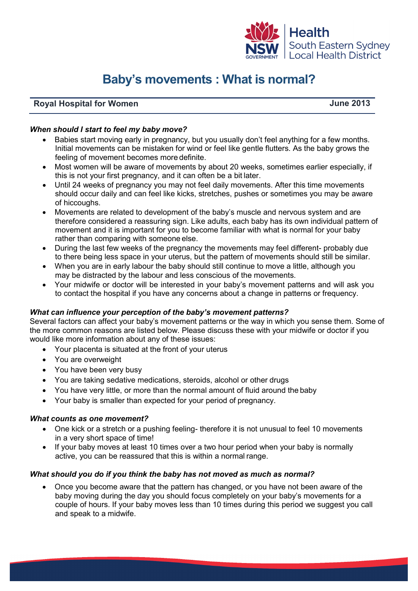

# **Baby's movements : What is normal?**

## **Royal Hospital for Women June 2013**

## *When should I start to feel my baby move?*

- Babies start moving early in pregnancy, but you usually don't feel anything for a few months. Initial movements can be mistaken for wind or feel like gentle flutters. As the baby grows the feeling of movement becomes more definite.
- Most women will be aware of movements by about 20 weeks, sometimes earlier especially, if this is not your first pregnancy, and it can often be a bit later.
- Until 24 weeks of pregnancy you may not feel daily movements. After this time movements should occur daily and can feel like kicks, stretches, pushes or sometimes you may be aware of hiccoughs.
- Movements are related to development of the baby's muscle and nervous system and are therefore considered a reassuring sign. Like adults, each baby has its own individual pattern of movement and it is important for you to become familiar with what is normal for your baby rather than comparing with someone else.
- During the last few weeks of the pregnancy the movements may feel different- probably due to there being less space in your uterus, but the pattern of movements should still be similar.
- When you are in early labour the baby should still continue to move a little, although you may be distracted by the labour and less conscious of the movements.
- Your midwife or doctor will be interested in your baby's movement patterns and will ask you to contact the hospital if you have any concerns about a change in patterns or frequency.

#### *What can influence your perception of the baby's movement patterns?*

Several factors can affect your baby's movement patterns or the way in which you sense them. Some of the more common reasons are listed below. Please discuss these with your midwife or doctor if you would like more information about any of these issues:

- Your placenta is situated at the front of your uterus
- You are overweight
- You have been very busy
- You are taking sedative medications, steroids, alcohol or other drugs
- You have very little, or more than the normal amount of fluid around the baby
- Your baby is smaller than expected for your period of pregnancy.

#### *What counts as one movement?*

- One kick or a stretch or a pushing feeling- therefore it is not unusual to feel 10 movements in a very short space of time!
- If your baby moves at least 10 times over a two hour period when your baby is normally active, you can be reassured that this is within a normal range.

#### *What should you do if you think the baby has not moved as much as normal?*

• Once you become aware that the pattern has changed, or you have not been aware of the baby moving during the day you should focus completely on your baby's movements for a couple of hours. If your baby moves less than 10 times during this period we suggest you call and speak to a midwife.